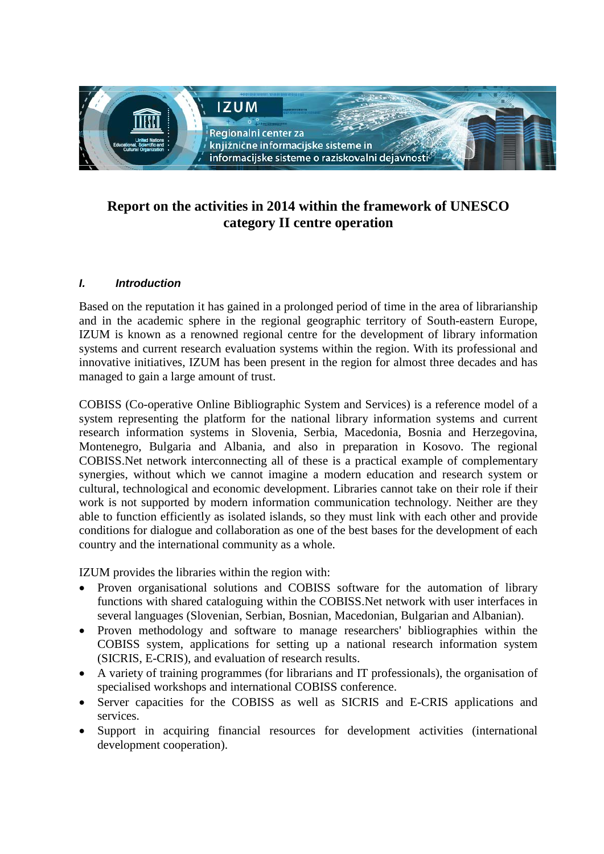

# **Report on the activities in 2014 within the framework of UNESCO category II centre operation**

## *I. Introduction*

Based on the reputation it has gained in a prolonged period of time in the area of librarianship and in the academic sphere in the regional geographic territory of South-eastern Europe, IZUM is known as a renowned regional centre for the development of library information systems and current research evaluation systems within the region. With its professional and innovative initiatives, IZUM has been present in the region for almost three decades and has managed to gain a large amount of trust.

COBISS (Co-operative Online Bibliographic System and Services) is a reference model of a system representing the platform for the national library information systems and current research information systems in Slovenia, Serbia, Macedonia, Bosnia and Herzegovina, Montenegro, Bulgaria and Albania, and also in preparation in Kosovo. The regional COBISS.Net network interconnecting all of these is a practical example of complementary synergies, without which we cannot imagine a modern education and research system or cultural, technological and economic development. Libraries cannot take on their role if their work is not supported by modern information communication technology. Neither are they able to function efficiently as isolated islands, so they must link with each other and provide conditions for dialogue and collaboration as one of the best bases for the development of each country and the international community as a whole.

IZUM provides the libraries within the region with:

- Proven organisational solutions and COBISS software for the automation of library functions with shared cataloguing within the COBISS.Net network with user interfaces in several languages (Slovenian, Serbian, Bosnian, Macedonian, Bulgarian and Albanian).
- Proven methodology and software to manage researchers' bibliographies within the COBISS system, applications for setting up a national research information system (SICRIS, E-CRIS), and evaluation of research results.
- A variety of training programmes (for librarians and IT professionals), the organisation of specialised workshops and international COBISS conference.
- Server capacities for the COBISS as well as SICRIS and E-CRIS applications and services.
- Support in acquiring financial resources for development activities (international development cooperation).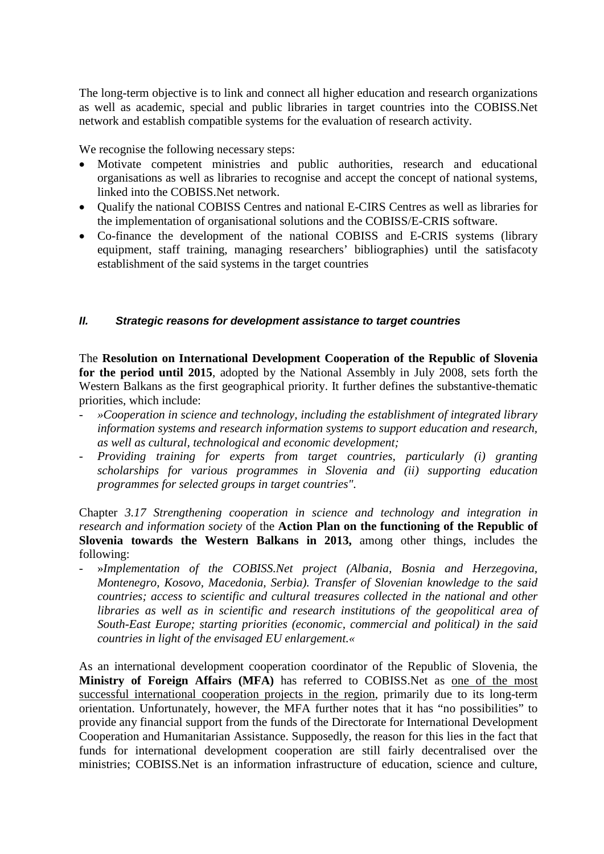The long-term objective is to link and connect all higher education and research organizations as well as academic, special and public libraries in target countries into the COBISS.Net network and establish compatible systems for the evaluation of research activity.

We recognise the following necessary steps:

- Motivate competent ministries and public authorities, research and educational organisations as well as libraries to recognise and accept the concept of national systems, linked into the COBISS.Net network.
- Qualify the national COBISS Centres and national E-CIRS Centres as well as libraries for the implementation of organisational solutions and the COBISS/E-CRIS software.
- Co-finance the development of the national COBISS and E-CRIS systems (library equipment, staff training, managing researchers' bibliographies) until the satisfacoty establishment of the said systems in the target countries

### *II. Strategic reasons for development assistance to target countries*

The **Resolution on International Development Cooperation of the Republic of Slovenia for the period until 2015**, adopted by the National Assembly in July 2008, sets forth the Western Balkans as the first geographical priority. It further defines the substantive-thematic priorities, which include:

- *»Cooperation in science and technology, including the establishment of integrated library information systems and research information systems to support education and research, as well as cultural, technological and economic development;*
- *Providing training for experts from target countries, particularly (i) granting scholarships for various programmes in Slovenia and (ii) supporting education programmes for selected groups in target countries".*

Chapter *3.17 Strengthening cooperation in science and technology and integration in research and information society* of the **Action Plan on the functioning of the Republic of Slovenia towards the Western Balkans in 2013,** among other things, includes the following:

- »*Implementation of the COBISS.Net project (Albania, Bosnia and Herzegovina, Montenegro, Kosovo, Macedonia, Serbia). Transfer of Slovenian knowledge to the said countries; access to scientific and cultural treasures collected in the national and other libraries as well as in scientific and research institutions of the geopolitical area of South-East Europe; starting priorities (economic, commercial and political) in the said countries in light of the envisaged EU enlargement.«* 

As an international development cooperation coordinator of the Republic of Slovenia, the **Ministry of Foreign Affairs (MFA)** has referred to COBISS.Net as one of the most successful international cooperation projects in the region, primarily due to its long-term orientation. Unfortunately, however, the MFA further notes that it has "no possibilities" to provide any financial support from the funds of the Directorate for International Development Cooperation and Humanitarian Assistance. Supposedly, the reason for this lies in the fact that funds for international development cooperation are still fairly decentralised over the ministries; COBISS.Net is an information infrastructure of education, science and culture,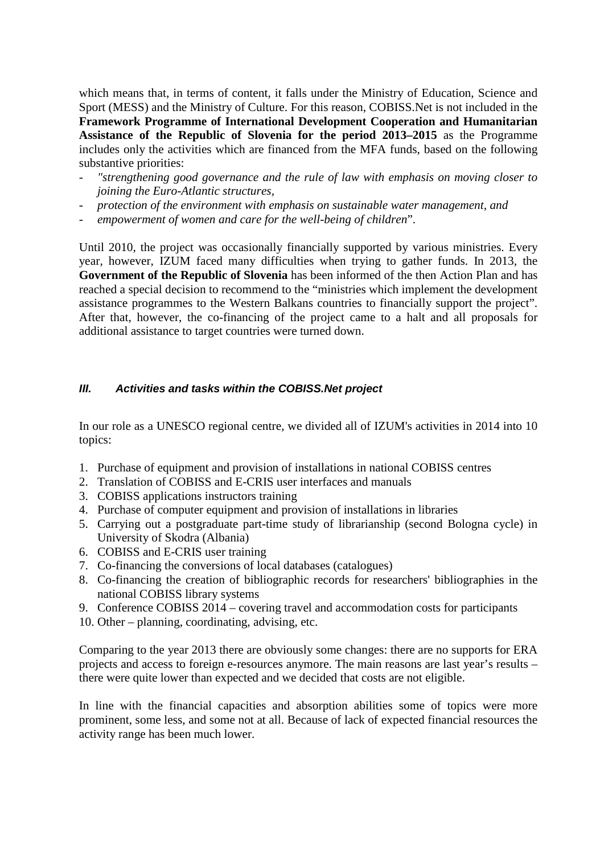which means that, in terms of content, it falls under the Ministry of Education, Science and Sport (MESS) and the Ministry of Culture. For this reason, COBISS.Net is not included in the **Framework Programme of International Development Cooperation and Humanitarian Assistance of the Republic of Slovenia for the period 2013–2015** as the Programme includes only the activities which are financed from the MFA funds, based on the following substantive priorities:

- *"strengthening good governance and the rule of law with emphasis on moving closer to joining the Euro-Atlantic structures,*
- *protection of the environment with emphasis on sustainable water management, and*
- *empowerment of women and care for the well-being of children*".

Until 2010, the project was occasionally financially supported by various ministries. Every year, however, IZUM faced many difficulties when trying to gather funds. In 2013, the **Government of the Republic of Slovenia** has been informed of the then Action Plan and has reached a special decision to recommend to the "ministries which implement the development assistance programmes to the Western Balkans countries to financially support the project". After that, however, the co-financing of the project came to a halt and all proposals for additional assistance to target countries were turned down.

#### *III. Activities and tasks within the COBISS.Net project*

In our role as a UNESCO regional centre, we divided all of IZUM's activities in 2014 into 10 topics:

- 1. Purchase of equipment and provision of installations in national COBISS centres
- 2. Translation of COBISS and E-CRIS user interfaces and manuals
- 3. COBISS applications instructors training
- 4. Purchase of computer equipment and provision of installations in libraries
- 5. Carrying out a postgraduate part-time study of librarianship (second Bologna cycle) in University of Skodra (Albania)
- 6. COBISS and E-CRIS user training
- 7. Co-financing the conversions of local databases (catalogues)
- 8. Co-financing the creation of bibliographic records for researchers' bibliographies in the national COBISS library systems
- 9. Conference COBISS 2014 covering travel and accommodation costs for participants
- 10. Other planning, coordinating, advising, etc.

Comparing to the year 2013 there are obviously some changes: there are no supports for ERA projects and access to foreign e-resources anymore. The main reasons are last year's results – there were quite lower than expected and we decided that costs are not eligible.

In line with the financial capacities and absorption abilities some of topics were more prominent, some less, and some not at all. Because of lack of expected financial resources the activity range has been much lower.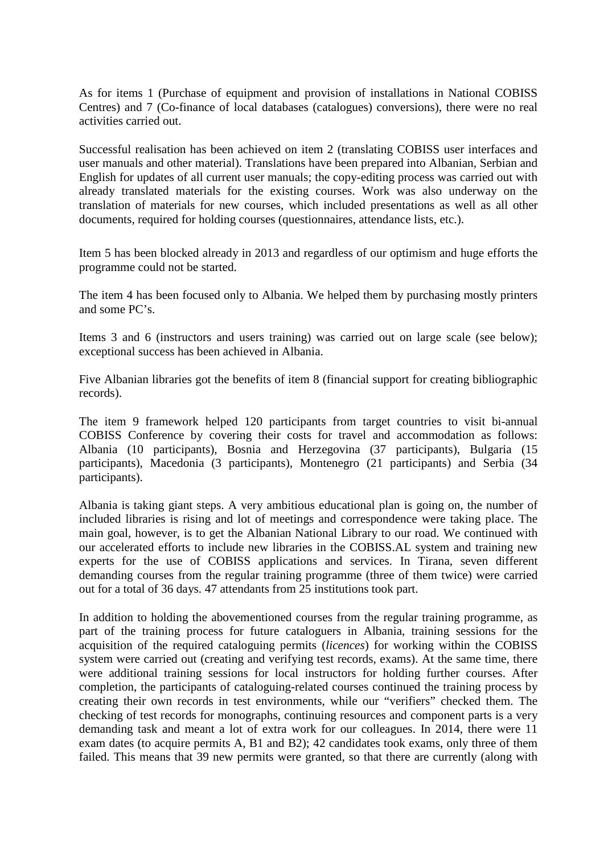As for items 1 (Purchase of equipment and provision of installations in National COBISS Centres) and 7 (Co-finance of local databases (catalogues) conversions), there were no real activities carried out.

Successful realisation has been achieved on item 2 (translating COBISS user interfaces and user manuals and other material). Translations have been prepared into Albanian, Serbian and English for updates of all current user manuals; the copy-editing process was carried out with already translated materials for the existing courses. Work was also underway on the translation of materials for new courses, which included presentations as well as all other documents, required for holding courses (questionnaires, attendance lists, etc.).

Item 5 has been blocked already in 2013 and regardless of our optimism and huge efforts the programme could not be started.

The item 4 has been focused only to Albania. We helped them by purchasing mostly printers and some PC's.

Items 3 and 6 (instructors and users training) was carried out on large scale (see below); exceptional success has been achieved in Albania.

Five Albanian libraries got the benefits of item 8 (financial support for creating bibliographic records).

The item 9 framework helped 120 participants from target countries to visit bi-annual COBISS Conference by covering their costs for travel and accommodation as follows: Albania (10 participants), Bosnia and Herzegovina (37 participants), Bulgaria (15 participants), Macedonia (3 participants), Montenegro (21 participants) and Serbia (34 participants).

Albania is taking giant steps. A very ambitious educational plan is going on, the number of included libraries is rising and lot of meetings and correspondence were taking place. The main goal, however, is to get the Albanian National Library to our road. We continued with our accelerated efforts to include new libraries in the COBISS.AL system and training new experts for the use of COBISS applications and services. In Tirana, seven different demanding courses from the regular training programme (three of them twice) were carried out for a total of 36 days. 47 attendants from 25 institutions took part.

In addition to holding the abovementioned courses from the regular training programme, as part of the training process for future cataloguers in Albania, training sessions for the acquisition of the required cataloguing permits (*licences*) for working within the COBISS system were carried out (creating and verifying test records, exams). At the same time, there were additional training sessions for local instructors for holding further courses. After completion, the participants of cataloguing-related courses continued the training process by creating their own records in test environments, while our "verifiers" checked them. The checking of test records for monographs, continuing resources and component parts is a very demanding task and meant a lot of extra work for our colleagues. In 2014, there were 11 exam dates (to acquire permits A, B1 and B2); 42 candidates took exams, only three of them failed. This means that 39 new permits were granted, so that there are currently (along with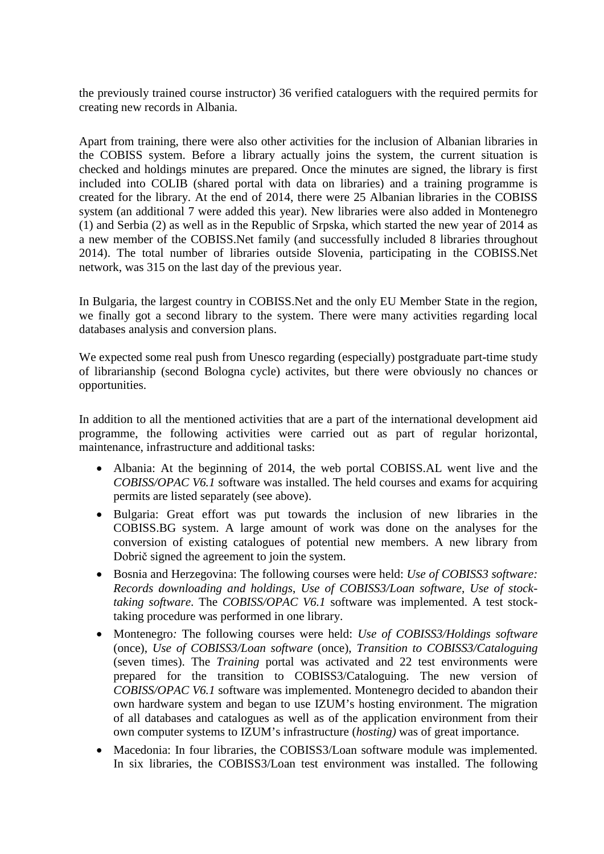the previously trained course instructor) 36 verified cataloguers with the required permits for creating new records in Albania.

Apart from training, there were also other activities for the inclusion of Albanian libraries in the COBISS system. Before a library actually joins the system, the current situation is checked and holdings minutes are prepared. Once the minutes are signed, the library is first included into COLIB (shared portal with data on libraries) and a training programme is created for the library. At the end of 2014, there were 25 Albanian libraries in the COBISS system (an additional 7 were added this year). New libraries were also added in Montenegro (1) and Serbia (2) as well as in the Republic of Srpska, which started the new year of 2014 as a new member of the COBISS.Net family (and successfully included 8 libraries throughout 2014). The total number of libraries outside Slovenia, participating in the COBISS.Net network, was 315 on the last day of the previous year.

In Bulgaria, the largest country in COBISS.Net and the only EU Member State in the region, we finally got a second library to the system. There were many activities regarding local databases analysis and conversion plans.

We expected some real push from Unesco regarding (especially) postgraduate part-time study of librarianship (second Bologna cycle) activites, but there were obviously no chances or opportunities.

In addition to all the mentioned activities that are a part of the international development aid programme, the following activities were carried out as part of regular horizontal, maintenance, infrastructure and additional tasks:

- Albania: At the beginning of 2014, the web portal COBISS.AL went live and the *COBISS/OPAC V6.1* software was installed. The held courses and exams for acquiring permits are listed separately (see above).
- Bulgaria: Great effort was put towards the inclusion of new libraries in the COBISS.BG system. A large amount of work was done on the analyses for the conversion of existing catalogues of potential new members. A new library from Dobrič signed the agreement to join the system.
- Bosnia and Herzegovina: The following courses were held: *Use of COBISS3 software: Records downloading and holdings*, *Use of COBISS3/Loan software*, *Use of stocktaking software*. The *COBISS/OPAC V6.1* software was implemented. A test stocktaking procedure was performed in one library.
- Montenegro*:* The following courses were held: *Use of COBISS3/Holdings software* (once), *Use of COBISS3/Loan software* (once), *Transition to COBISS3/Cataloguing* (seven times). The *Training* portal was activated and 22 test environments were prepared for the transition to COBISS3/Cataloguing. The new version of *COBISS/OPAC V6.1* software was implemented. Montenegro decided to abandon their own hardware system and began to use IZUM's hosting environment. The migration of all databases and catalogues as well as of the application environment from their own computer systems to IZUM's infrastructure (*hosting)* was of great importance.
- Macedonia: In four libraries, the COBISS3/Loan software module was implemented. In six libraries, the COBISS3/Loan test environment was installed. The following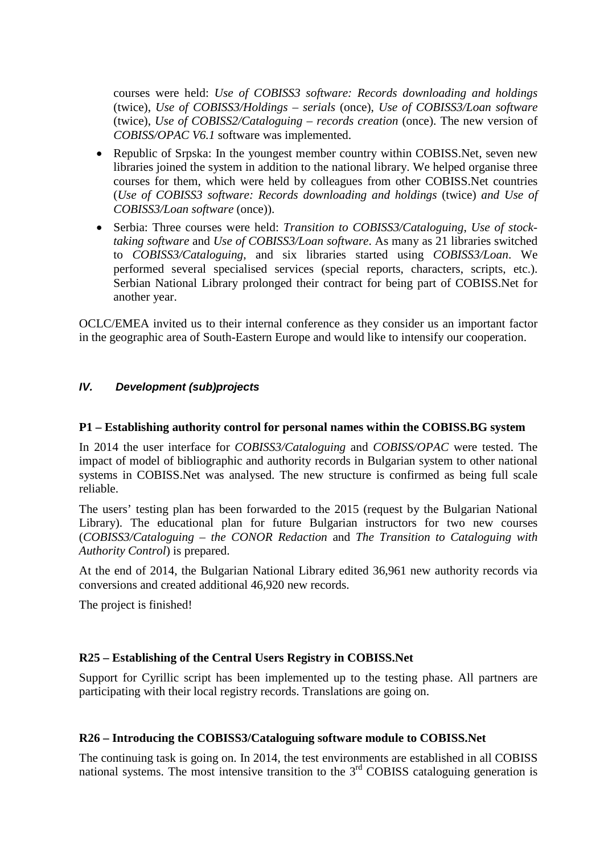courses were held: *Use of COBISS3 software: Records downloading and holdings* (twice), *Use of COBISS3/Holdings – serials* (once), *Use of COBISS3/Loan software*  (twice), *Use of COBISS2/Cataloguing – records creation* (once). The new version of *COBISS/OPAC V6.1* software was implemented.

- Republic of Srpska: In the youngest member country within COBISS. Net, seven new libraries joined the system in addition to the national library. We helped organise three courses for them, which were held by colleagues from other COBISS.Net countries (*Use of COBISS3 software: Records downloading and holdings* (twice) *and Use of COBISS3/Loan software* (once)).
- Serbia: Three courses were held: *Transition to COBISS3/Cataloguing*, *Use of stocktaking software* and *Use of COBISS3/Loan software*. As many as 21 libraries switched to *COBISS3/Cataloguing*, and six libraries started using *COBISS3/Loan*. We performed several specialised services (special reports, characters, scripts, etc.). Serbian National Library prolonged their contract for being part of COBISS.Net for another year.

OCLC/EMEA invited us to their internal conference as they consider us an important factor in the geographic area of South-Eastern Europe and would like to intensify our cooperation.

### *IV. Development (sub)projects*

#### **P1 – Establishing authority control for personal names within the COBISS.BG system**

In 2014 the user interface for *COBISS3/Cataloguing* and *COBISS/OPAC* were tested. The impact of model of bibliographic and authority records in Bulgarian system to other national systems in COBISS.Net was analysed. The new structure is confirmed as being full scale reliable.

The users' testing plan has been forwarded to the 2015 (request by the Bulgarian National Library). The educational plan for future Bulgarian instructors for two new courses (*COBISS3/Cataloguing – the CONOR Redaction* and *The Transition to Cataloguing with Authority Control*) is prepared.

At the end of 2014, the Bulgarian National Library edited 36,961 new authority records via conversions and created additional 46,920 new records.

The project is finished!

#### **R25 – Establishing of the Central Users Registry in COBISS.Net**

Support for Cyrillic script has been implemented up to the testing phase. All partners are participating with their local registry records. Translations are going on.

#### **R26 – Introducing the COBISS3/Cataloguing software module to COBISS.Net**

The continuing task is going on. In 2014, the test environments are established in all COBISS national systems. The most intensive transition to the 3<sup>rd</sup> COBISS cataloguing generation is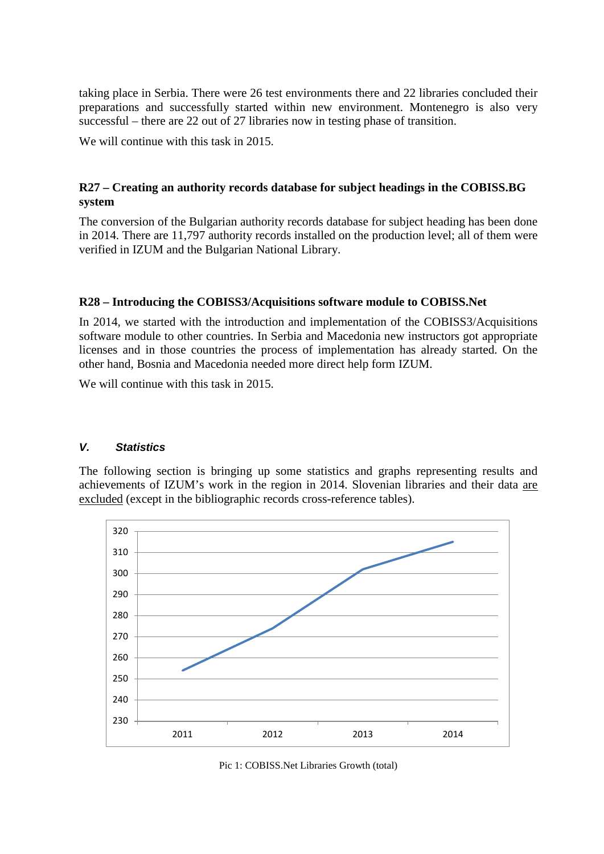taking place in Serbia. There were 26 test environments there and 22 libraries concluded their preparations and successfully started within new environment. Montenegro is also very successful – there are 22 out of 27 libraries now in testing phase of transition.

We will continue with this task in 2015.

## **R27 – Creating an authority records database for subject headings in the COBISS.BG system**

The conversion of the Bulgarian authority records database for subject heading has been done in 2014. There are 11,797 authority records installed on the production level; all of them were verified in IZUM and the Bulgarian National Library.

## **R28 – Introducing the COBISS3/Acquisitions software module to COBISS.Net**

In 2014, we started with the introduction and implementation of the COBISS3/Acquisitions software module to other countries. In Serbia and Macedonia new instructors got appropriate licenses and in those countries the process of implementation has already started. On the other hand, Bosnia and Macedonia needed more direct help form IZUM.

We will continue with this task in 2015.

#### *V. Statistics*

The following section is bringing up some statistics and graphs representing results and achievements of IZUM's work in the region in 2014. Slovenian libraries and their data are excluded (except in the bibliographic records cross-reference tables).



Pic 1: COBISS.Net Libraries Growth (total)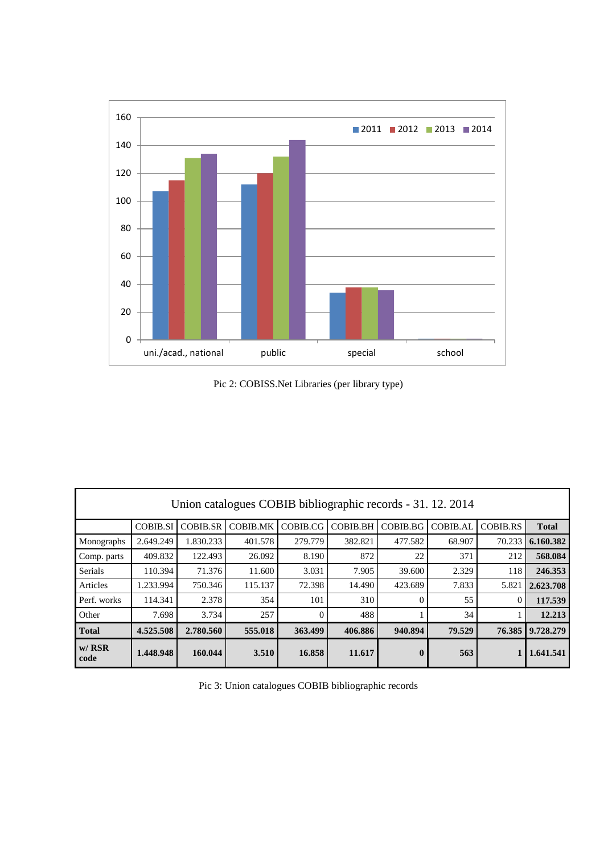

Pic 2: COBISS.Net Libraries (per library type)

| Union catalogues COBIB bibliographic records - 31. 12. 2014 |                 |                 |                 |                 |                 |                  |          |                 |              |  |  |  |
|-------------------------------------------------------------|-----------------|-----------------|-----------------|-----------------|-----------------|------------------|----------|-----------------|--------------|--|--|--|
|                                                             | <b>COBIB.SI</b> | <b>COBIB.SR</b> | <b>COBIB.MK</b> | <b>COBIB.CG</b> | <b>COBIB.BH</b> | COBIB.BG         | COBIB.AL | <b>COBIB.RS</b> | <b>Total</b> |  |  |  |
| Monographs                                                  | 2.649.249       | 1.830.233       | 401.578         | 279.779         | 382.821         | 477.582          | 68.907   | 70.233          | 6.160.382    |  |  |  |
| Comp. parts                                                 | 409.832         | 122.493         | 26.092          | 8.190           | 872             | 22               | 371      | 212             | 568.084      |  |  |  |
| Serials                                                     | 110.394         | 71.376          | 11.600          | 3.031           | 7.905           | 39.600           | 2.329    | 118             | 246.353      |  |  |  |
| Articles                                                    | 1.233.994       | 750.346         | 115.137         | 72.398          | 14.490          | 423.689          | 7.833    | 5.821           | 2.623.708    |  |  |  |
| Perf. works                                                 | 114.341         | 2.378           | 354             | 101             | 310             | $\Omega$         | 55       | $\theta$        | 117.539      |  |  |  |
| Other                                                       | 7.698           | 3.734           | 257             | $\Omega$        | 488             |                  | 34       |                 | 12.213       |  |  |  |
| <b>Total</b>                                                | 4.525.508       | 2.780.560       | 555.018         | 363.499         | 406.886         | 940.894          | 79.529   | 76.385          | 9.728.279    |  |  |  |
| $w/$ RSR<br>code                                            | 1.448.948       | 160.044         | 3.510           | 16.858          | 11.617          | $\boldsymbol{0}$ | 563      |                 | 1.641.541    |  |  |  |

Pic 3: Union catalogues COBIB bibliographic records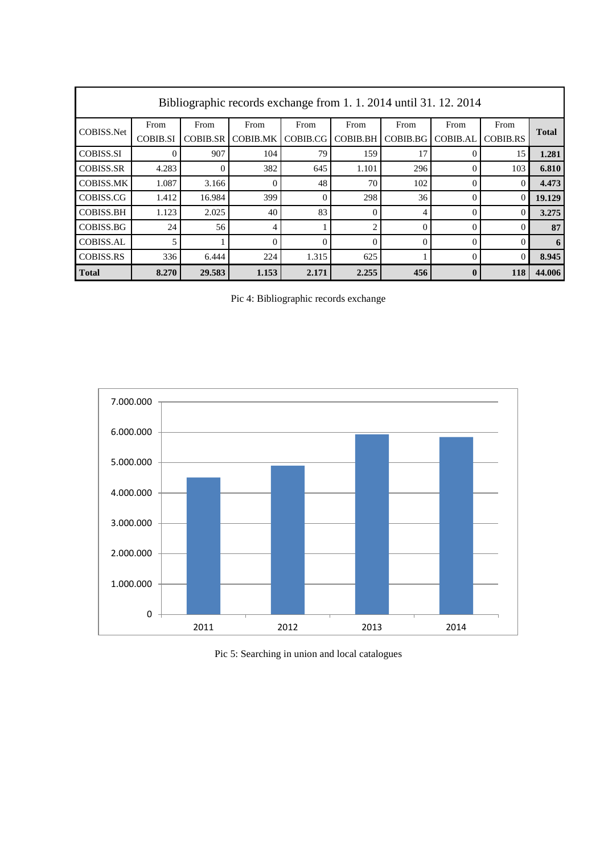| Bibliographic records exchange from 1.1.2014 until 31.12.2014 |                 |                 |                 |          |                 |          |                 |                 |              |  |  |
|---------------------------------------------------------------|-----------------|-----------------|-----------------|----------|-----------------|----------|-----------------|-----------------|--------------|--|--|
| COBISS.Net                                                    | From            | From            | From            | From     | From            | From     | From            | From            | <b>Total</b> |  |  |
|                                                               | <b>COBIB.SI</b> | <b>COBIB.SR</b> | <b>COBIB.MK</b> | COBIB.CG | <b>COBIB.BH</b> | COBIB.BG | <b>COBIB.AL</b> | <b>COBIB.RS</b> |              |  |  |
| <b>COBISS.SI</b>                                              | $\Omega$        | 907             | 104             | 79       | 159             | 17       |                 | 15              | 1.281        |  |  |
| <b>COBISS.SR</b>                                              | 4.283           | 0               | 382             | 645      | 1.101           | 296      | $\Omega$        | 103             | 6.810        |  |  |
| <b>COBISS.MK</b>                                              | 1.087           | 3.166           | $\Omega$        | 48       | 70              | 102      | $\Omega$        | $\theta$        | 4.473        |  |  |
| COBISS.CG                                                     | 1.412           | 16.984          | 399             | $\Omega$ | 298             | 36       | $\Omega$        | $\theta$        | 19.129       |  |  |
| <b>COBISS.BH</b>                                              | 1.123           | 2.025           | 40              | 83       | $\theta$        | 4        | $\Omega$        | $\theta$        | 3.275        |  |  |
| COBISS.BG                                                     | 24              | 56              | 4               |          | $\overline{2}$  | $\Omega$ | $\Omega$        | $\Omega$        | 87           |  |  |
| <b>COBISS.AL</b>                                              | 5               |                 | $\Omega$        | $\theta$ | $\theta$        | $\theta$ | $\theta$        | $\theta$        | 6            |  |  |
| <b>COBISS.RS</b>                                              | 336             | 6.444           | 224             | 1.315    | 625             |          | $\Omega$        | $\theta$        | 8.945        |  |  |
| <b>Total</b>                                                  | 8.270           | 29.583          | 1.153           | 2.171    | 2.255           | 456      | $\mathbf 0$     | 118             | 44.006       |  |  |

Pic 4: Bibliographic records exchange



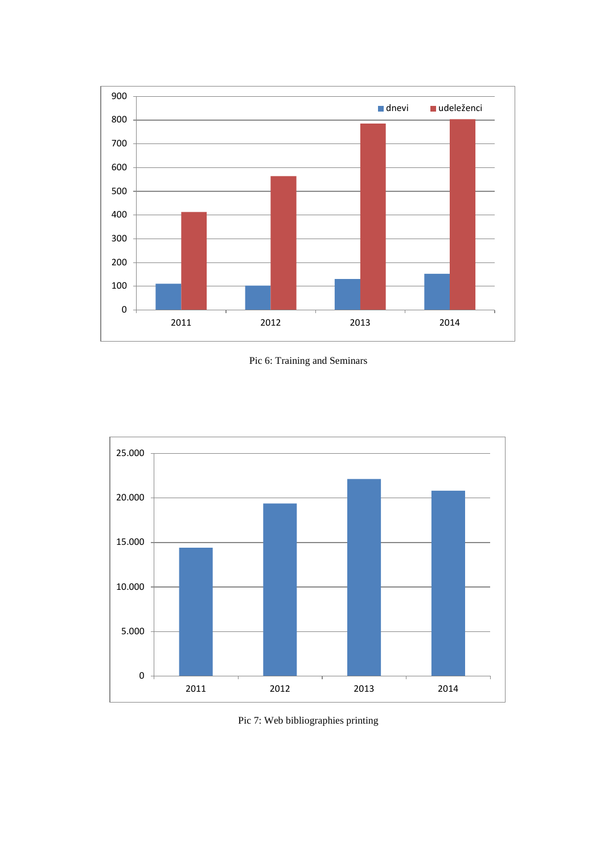





Pic 7: Web bibliographies printing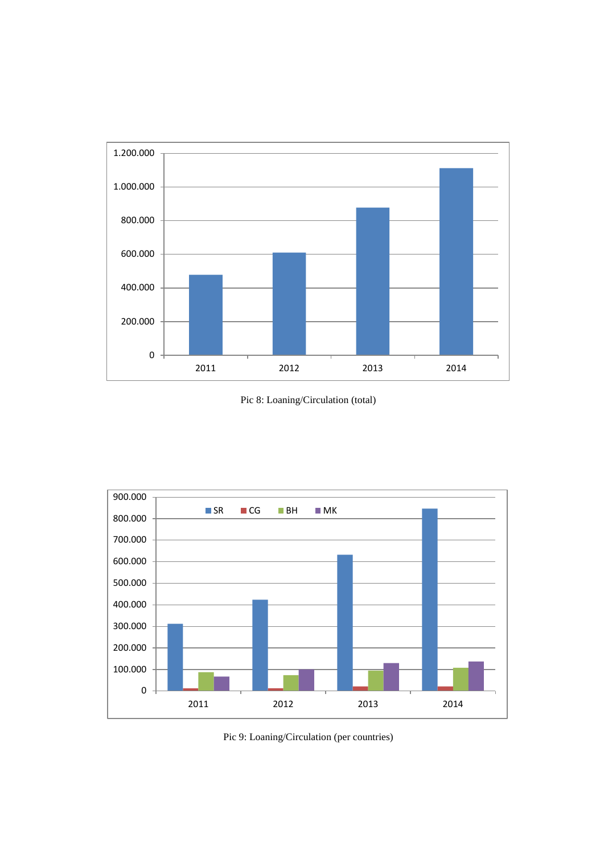

Pic 8: Loaning/Circulation (total)



Pic 9: Loaning/Circulation (per countries)